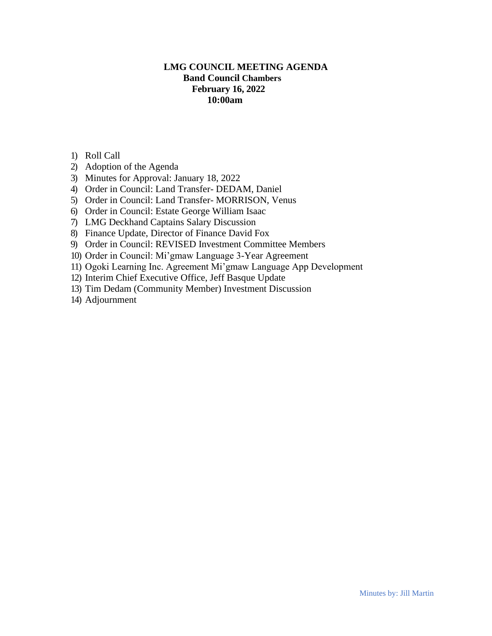# **LMG COUNCIL MEETING AGENDA Band Council Chambers February 16, 2022 10:00am**

- 1) Roll Call
- 2) Adoption of the Agenda
- 3) Minutes for Approval: January 18, 2022
- 4) Order in Council: Land Transfer- DEDAM, Daniel
- 5) Order in Council: Land Transfer- MORRISON, Venus
- 6) Order in Council: Estate George William Isaac
- 7) LMG Deckhand Captains Salary Discussion
- 8) Finance Update, Director of Finance David Fox
- 9) Order in Council: REVISED Investment Committee Members
- 10) Order in Council: Mi'gmaw Language 3-Year Agreement
- 11) Ogoki Learning Inc. Agreement Mi'gmaw Language App Development
- 12) Interim Chief Executive Office, Jeff Basque Update
- 13) Tim Dedam (Community Member) Investment Discussion
- 14) Adjournment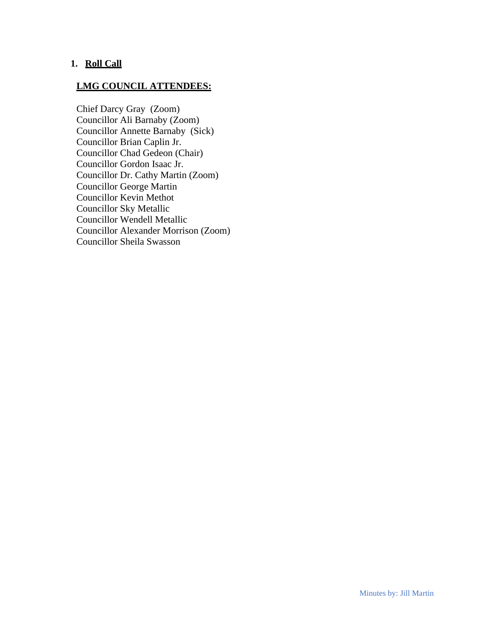## **1. Roll Call**

# **LMG COUNCIL ATTENDEES:**

Chief Darcy Gray (Zoom) Councillor Ali Barnaby (Zoom) Councillor Annette Barnaby (Sick) Councillor Brian Caplin Jr. Councillor Chad Gedeon (Chair) Councillor Gordon Isaac Jr. Councillor Dr. Cathy Martin (Zoom) Councillor George Martin Councillor Kevin Methot Councillor Sky Metallic Councillor Wendell Metallic Councillor Alexander Morrison (Zoom) Councillor Sheila Swasson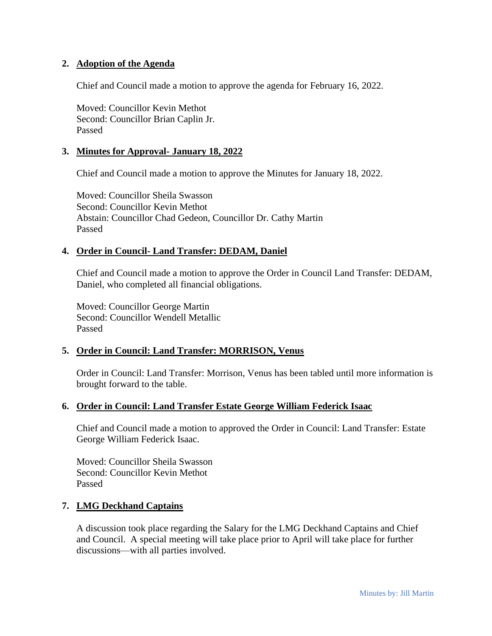#### **2. Adoption of the Agenda**

Chief and Council made a motion to approve the agenda for February 16, 2022.

Moved: Councillor Kevin Methot Second: Councillor Brian Caplin Jr. Passed

#### **3. Minutes for Approval- January 18, 2022**

Chief and Council made a motion to approve the Minutes for January 18, 2022.

Moved: Councillor Sheila Swasson Second: Councillor Kevin Methot Abstain: Councillor Chad Gedeon, Councillor Dr. Cathy Martin Passed

#### **4. Order in Council- Land Transfer: DEDAM, Daniel**

Chief and Council made a motion to approve the Order in Council Land Transfer: DEDAM, Daniel, who completed all financial obligations.

Moved: Councillor George Martin Second: Councillor Wendell Metallic Passed

#### **5. Order in Council: Land Transfer: MORRISON, Venus**

Order in Council: Land Transfer: Morrison, Venus has been tabled until more information is brought forward to the table.

#### **6. Order in Council: Land Transfer Estate George William Federick Isaac**

Chief and Council made a motion to approved the Order in Council: Land Transfer: Estate George William Federick Isaac.

Moved: Councillor Sheila Swasson Second: Councillor Kevin Methot Passed

#### **7. LMG Deckhand Captains**

A discussion took place regarding the Salary for the LMG Deckhand Captains and Chief and Council. A special meeting will take place prior to April will take place for further discussions—with all parties involved.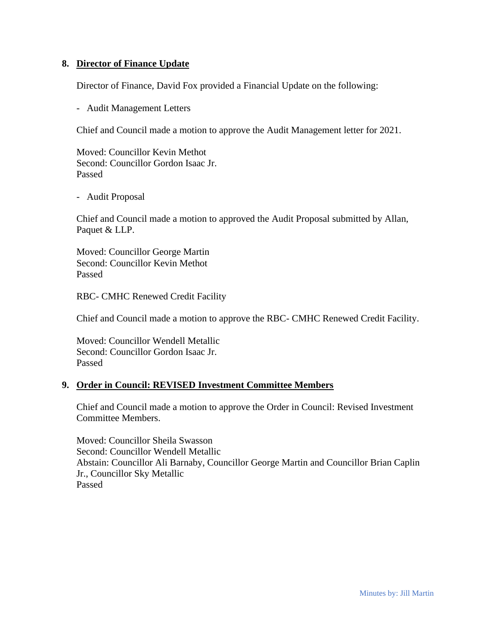#### **8. Director of Finance Update**

Director of Finance, David Fox provided a Financial Update on the following:

- Audit Management Letters

Chief and Council made a motion to approve the Audit Management letter for 2021.

Moved: Councillor Kevin Methot Second: Councillor Gordon Isaac Jr. Passed

- Audit Proposal

Chief and Council made a motion to approved the Audit Proposal submitted by Allan, Paquet & LLP.

Moved: Councillor George Martin Second: Councillor Kevin Methot Passed

RBC- CMHC Renewed Credit Facility

Chief and Council made a motion to approve the RBC- CMHC Renewed Credit Facility.

Moved: Councillor Wendell Metallic Second: Councillor Gordon Isaac Jr. Passed

#### **9. Order in Council: REVISED Investment Committee Members**

Chief and Council made a motion to approve the Order in Council: Revised Investment Committee Members.

Moved: Councillor Sheila Swasson Second: Councillor Wendell Metallic Abstain: Councillor Ali Barnaby, Councillor George Martin and Councillor Brian Caplin Jr., Councillor Sky Metallic Passed